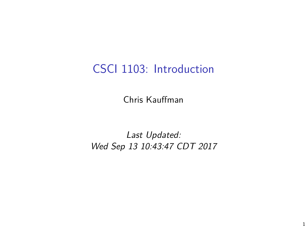# CSCI 1103: Introduction

Chris Kauffman

Last Updated: Wed Sep 13 10:43:47 CDT 2017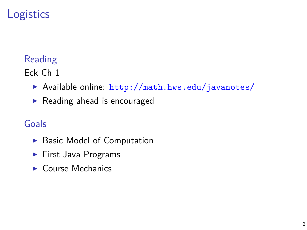# **Logistics**

### Reading

Eck Ch 1

- ▶ Available online: <http://math.hws.edu/javanotes/>
- $\blacktriangleright$  Reading ahead is encouraged

### Goals

- $\blacktriangleright$  Basic Model of Computation
- $\blacktriangleright$  First Java Programs
- $\blacktriangleright$  Course Mechanics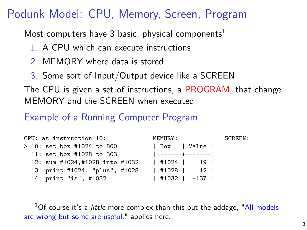# Podunk Model: CPU, Memory, Screen, Program

Most computers have 3 basic, physical components<sup>1</sup>

- 1. A CPU which can execute instructions
- 2. MEMORY where data is stored
- 3. Some sort of Input/Output device like a SCREEN

The CPU is given a set of instructions, a PROGRAM, that change MEMORY and the SCREEN when executed

### Example of a Running Computer Program

| CPU: at instruction 10:        | MEMORY:              | SCREEN: |
|--------------------------------|----------------------|---------|
| > 10: set box #1024 to 800     | Box   Value          |         |
| 11: set box #1028 to 303       | -------+-------      |         |
| 12: sum #1024,#1028 into #1032 | $1$ #1024   19       |         |
| 13: print #1024, "plus", #1028 | $1$ #1028 $1$ 12 $1$ |         |
| 14: print "is", #1032          | $ $ #1032   -137     |         |

 $1$ Of course it's a *little* more complex than this but the addage, ["All models](https://en.wikipedia.org/wiki/All_models_are_wrong) [are wrong but some are useful."](https://en.wikipedia.org/wiki/All_models_are_wrong) applies here.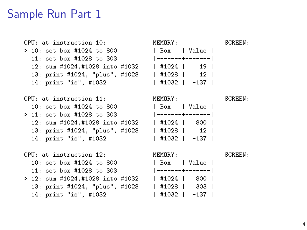### Sample Run Part 1

CPU: at instruction 10: MEMORY: SCREEN:  $> 10:$  set box #1024 to 800  $11:$  set box #1028 to 303 12: sum #1024,#1028 into #1032 13: print #1024, "plus", #1028 14: print "is", #1032

CPU: at instruction 11: MEMORY: SCREEN:  $10:$  set box #1024 to 800  $> 11:$  set box #1028 to 303 12: sum #1024,#1028 into #1032 13: print #1024, "plus", #1028 14: print "is", #1032



| l Box           | l Value I |  |
|-----------------|-----------|--|
| -------+------- |           |  |
| $ $ #1024       | 19 l      |  |
| $ $ #1028 $ $   | $12-1$    |  |
| #1032           | $-137$    |  |

| l Box           | Value  |  |
|-----------------|--------|--|
| -------+------- |        |  |
| #1024           | 800 l  |  |
| #1028           | 12 I   |  |
| #1032           | $-137$ |  |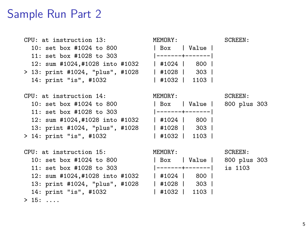### Sample Run Part 2

CPU: at instruction 13: MEMORY: SCREEN:  $10:$  set box  $\#1024$  to 800  $11:$  set box #1028 to 303 12: sum #1024,#1028 into #1032  $> 13:$  print #1024, "plus", #1028 14: print "is", #1032

CPU: at instruction 14: MEMORY: SCREEN: 10: set box #1024 to 800 | Box | Value | 800 plus 303  $11:$  set box  $\#1028$  to 303 12: sum #1024,#1028 into #1032 13: print #1024, "plus", #1028 > 14: print "is", #1032

CPU: at instruction 15: MEMORY: SCREEN: 10: set box #1024 to 800 | Box | Value | 800 plus 303 11: set box #1028 to 303 |-------+-------| is 1103 12: sum #1024,#1028 into #1032 | #1024 | 800 | 13: print #1024, "plus", #1028 | #1028 | 303 | 14: print "is", #1032 | #1032 | 1103 |  $> 15: . . . .$ 

| l Box           | Value            |  |
|-----------------|------------------|--|
| -------+------- |                  |  |
| $ $ #1024       | 800 l            |  |
| #1028           | 303 <sub>1</sub> |  |
| #1032           | 1103 l           |  |

| l Box  | Value            |  |
|--------|------------------|--|
|        | -------+-------  |  |
| #1024  | 800 l            |  |
| 141028 | 303 <sub>1</sub> |  |
| #1032  | 1103 l           |  |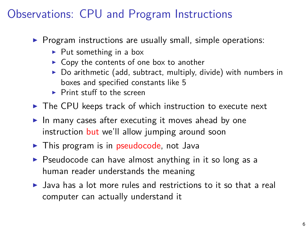# Observations: CPU and Program Instructions

- $\triangleright$  Program instructions are usually small, simple operations:
	- $\blacktriangleright$  Put something in a box
	- $\triangleright$  Copy the contents of one box to another
	- $\triangleright$  Do arithmetic (add, subtract, multiply, divide) with numbers in boxes and specified constants like 5
	- $\blacktriangleright$  Print stuff to the screen
- $\triangleright$  The CPU keeps track of which instruction to execute next
- $\blacktriangleright$  In many cases after executing it moves ahead by one instruction but we'll allow jumping around soon
- $\triangleright$  This program is in pseudocode, not Java
- $\triangleright$  Pseudocode can have almost anything in it so long as a human reader understands the meaning
- $\blacktriangleright$  Java has a lot more rules and restrictions to it so that a real computer can actually understand it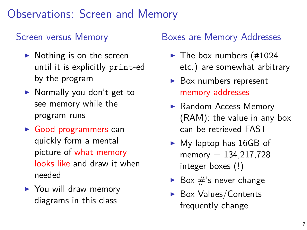# Observations: Screen and Memory

### Screen versus Memory

- $\triangleright$  Nothing is on the screen until it is explicitly print-ed by the program
- $\triangleright$  Normally you don't get to see memory while the program runs
- $\triangleright$  Good programmers can quickly form a mental picture of what memory looks like and draw it when needed
- $\triangleright$  You will draw memory diagrams in this class

### Boxes are Memory Addresses

- $\blacktriangleright$  The box numbers (#1024 etc.) are somewhat arbitrary
- $\triangleright$  Box numbers represent memory addresses
- $\blacktriangleright$  Random Access Memory (RAM): the value in any box can be retrieved FAST
- $\blacktriangleright$  My laptop has 16GB of memory  $= 134, 217, 728$ integer boxes (!)
- $\blacktriangleright$  Box  $\#$ 's never change
- $\triangleright$  Box Values/Contents frequently change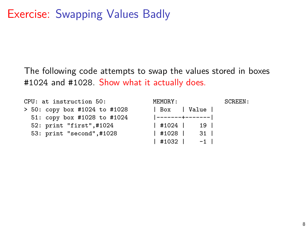### Exercise: Swapping Values Badly

The following code attempts to swap the values stored in boxes #1024 and #1028. Show what it actually does.

CPU: at instruction 50: MEMORY: SCREEN: > 50: copy box #1024 to #1028 | Box | Value | 51: copy box #1028 to #1024 |-------+-------|<br>52: print "first",#1024 | #1024 | 19 | 52: print "first",#1024 53: print "second",#1028 | #1028 | 31 |

 $|$  #1032 | -1 |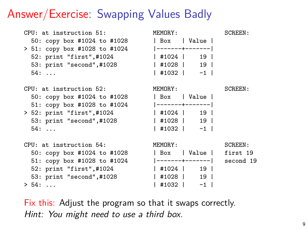### Answer/Exercise: Swapping Values Badly

CPU: at instruction 51: MEMORY: SCREEN: 50: copy box #1024 to #1028  $> 51:$  copy box #1028 to #1024 52: print "first",#1024 53: print "second",#1028 | #1028 | 19 | 54: ... | #1032 | -1 | CPU: at instruction 52: MEMORY: SCREEN: 50: copy box #1024 to #1028 51: copy box #1028 to #1024  $> 52: print "first", #1024"$ 53: print "second",#1028<br>54: ... 54: ... | #1032 | -1 | CPU: at instruction 54: MEMORY: SCREEN: 50: copy box #1024 to #1028 | Box | Value | first 19 51: copy box #1028 to #1024 |-------+-------| second 19

52: print "first",#1024 | #1024 | 19 | 53: print "second",#1028 | #1028 | 19 | > 54: ... | #1032 | -1 |

| l Box         | Value           |  |
|---------------|-----------------|--|
|               | -------+------- |  |
| $ $ #1024     | 19 <sup>1</sup> |  |
| $ $ #1028 $ $ | 19              |  |
| #1032         | $-1$            |  |

| l Box         | Value           |  |
|---------------|-----------------|--|
|               | -------+------- |  |
| #1024         | 19 I            |  |
| $ $ #1028 $ $ | 19              |  |
| #1032         | -1              |  |

Fix this: Adjust the program so that it swaps correctly. Hint: You might need to use a third box.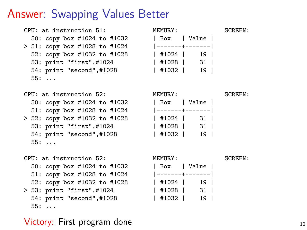### Answer: Swapping Values Better

CPU: at instruction 51: MEMORY: SCREEN: 50: copy box #1024 to #1032 | Box | Value | > 51: copy box #1028 to #1024 |-------+-------| 52: copy box #1032 to #1028 | #1024 | 19 | 53: print "first",#1024 | #1028 | 31 | 54: print "second",#1028 | #1032 | 19 | 55: ...

CPU: at instruction 52: MEMORY: SCREEN: 50: copy box #1024 to #1032 51: copy box #1028 to #1024  $> 52: copy box #1032 to #1028$ 53: print "first",#1024 54: print "second",#1028 55: ...

CPU: at instruction 52: MEMORY: SCREEN: 50: copy box #1024 to #1032 | Box | Value | 51: copy box #1028 to #1024 |-------+-------| 52: copy box #1032 to #1028 | #1024 | 19 | > 53: print "first",#1024 54: print "second",#1028 | #1032 | 19 | 55: ...

### Victory: First program done 10 and 10 and 10 and 10 and 10 and 10 and 10 and 10 and 10 and 10 and 10 and 10 and 10 and 10 and 10 and 10 and 10 and 10 and 10 and 10 and 10 and 10 and 10 and 10 and 10 and 10 and 10 and 10 an

| l Box         | Value           |  |
|---------------|-----------------|--|
|               | -------+------- |  |
| $ $ #1024 $ $ | 31 I            |  |
| $ $ #1028 $ $ | 31 <sup>1</sup> |  |
| #1032         | 19              |  |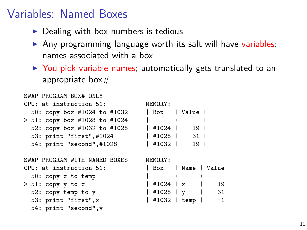### Variables: Named Boxes

- $\triangleright$  Dealing with box numbers is tedious
- $\triangleright$  Any programming language worth its salt will have variables: names associated with a box
- $\triangleright$  You pick variable names; automatically gets translated to an appropriate box $#$

```
SWAP PROGRAM BOX# ONLY
CPII: at instruction 51: MEMORY:
 50: copy box #1024 to #1032
> 51: copy box #1028 to #1024
 52: copy box #1032 to #1028
 53: print "first",#1024
 54: print "second",#1028
```
SWAP PROGRAM WITH NAMED BOXES MEMORY:  $CPU:$  at instruction  $51:$ 

- $50:$  copy  $x$  to temp
- $> 51: copy y to x$  $52:$  copy temp to  $y$ 53: print "first", x
	- 54: print "second",y

| l Box         | Value           |  |
|---------------|-----------------|--|
|               | -------+------- |  |
| $ $ #1024 $ $ | 19 l            |  |
| #1028         | 31 I            |  |
| #1032         | 19              |  |

|                 |  | Box   Name   Value     |  |
|-----------------|--|------------------------|--|
|                 |  | -------+------+------- |  |
| 19 <sup>1</sup> |  | $ $ #1024 $ $ x        |  |
| 31              |  | $ $ #1028   v          |  |
| $-1$            |  | $ $ #1032 $ $ temp $ $ |  |
|                 |  |                        |  |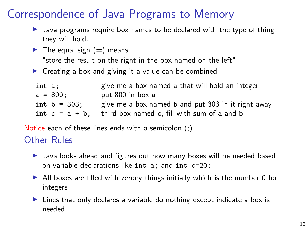# Correspondence of Java Programs to Memory

- $\blacktriangleright$  Java programs require box names to be declared with the type of thing they will hold.
- $\blacktriangleright$  The equal sign (=) means

"store the result on the right in the box named on the left"

 $\triangleright$  Creating a box and giving it a value can be combined

| int a: |                   | give me a box named a that will hold an integer    |
|--------|-------------------|----------------------------------------------------|
|        | a = 800:          | put 800 in box a                                   |
|        | int $b = 303$ :   | give me a box named b and put 303 in it right away |
|        | int $c = a + b$ : | third box named c, fill with sum of a and b        |

Notice each of these lines ends with a semicolon (;)

### Other Rules

- $\blacktriangleright$  Java looks ahead and figures out how many boxes will be needed based on variable declarations like int a; and int c=20;
- $\blacktriangleright$  All boxes are filled with zeroey things initially which is the number 0 for integers
- $\triangleright$  Lines that only declares a variable do nothing except indicate a box is needed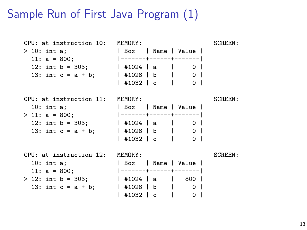# Sample Run of First Java Program (1)

CPU: at instruction 10: MEMORY: SCREEN: > 10: int a;  $\begin{array}{ccc} | & \text{Box} & | \text{Name} & | \text{ Value} \\ 11: \text{ a = 800:} & | & \text{-----} \end{array}$ 11: a = 800; |-------+------+-------| 12: int b = 303;  $|$  #1024 | a | 0 | 13: int c = a + b; | #1028 | b | 0 | | #1032 | c | 0 | CPU: at instruction 11: MEMORY: SCREEN: 10: int a:  $\qquad$  | Box | Name | Value | > 11: a = 800;<br>
12: int b = 303; <br>  $\begin{array}{ccc} | & +1124 | & 2111 | & 0 \\ | & +1024 | & 2111 | & 0 \\ \end{array}$  $1 \# 1024$  | a | 0 | 13: int c = a + b; | #1028 | b | 0 | | #1032 | c | 0 | CPU: at instruction 12: MEMORY: SCREEN: 10: int a;  $|$  Box | Name | Value | 11:  $a = 800$ ;  $|-----+-----+$ > 12: int b = 303; | #1024 | a | 800 | 13: int c = a + b;  $|$  #1028 | b | 0 | | #1032 | c | 0 |

13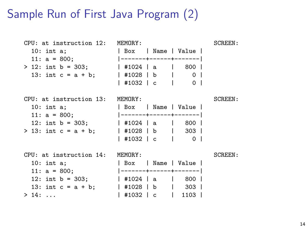### Sample Run of First Java Program (2)

CPU: at instruction 12: MEMORY: SCREEN: 10: int a;  $\begin{array}{ccc} 10: & \text{in } \mathfrak{e} \\ 11: & a = 800: \end{array}$  | Box | Name | Value | 11: a = 800; |-------+------+-------| > 12: int b = 303; | #1024 | a | 800 | 13: int c = a + b; | #1028 | b | 0 | | #1032 | c | 0 | CPU: at instruction 13: MEMORY: SCREEN: 10: int a:  $\qquad$  | Box | Name | Value | 11: a = 800;<br>12: int b = 303; | #1024 | a | 800 | | #1024 | a | 800 |  $> 13:$  int c = a + b; | #1028 | b | 303 | | #1032 | c | 0 | CPU: at instruction 14: MEMORY: SCREEN: 10: int a;  $|$  Box | Name | Value | 11:  $a = 800$ ;  $|-----+-----|$ 12: int b = 303; | #1024 | a | 800 | 13: int c = a + b; | #1028 | b | 303 | > 14: ... | #1032 | c | 1103 |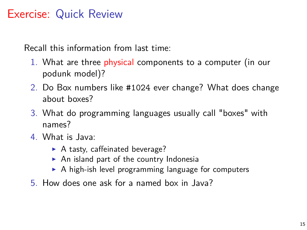# Exercise: Quick Review

Recall this information from last time:

- 1. What are three physical components to a computer (in our podunk model)?
- 2. Do Box numbers like #1024 ever change? What does change about boxes?
- 3. What do programming languages usually call "boxes" with names?
- 4. What is Java:
	- $\blacktriangleright$  A tasty, caffeinated beverage?
	- $\triangleright$  An island part of the country Indonesia
	- $\triangleright$  A high-ish level programming language for computers
- 5. How does one ask for a named box in Java?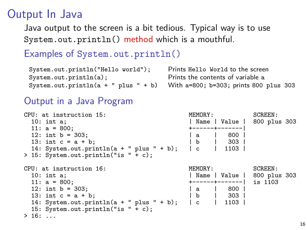## Output In Java

Java output to the screen is a bit tedious. Typical way is to use System.out.println() method which is a mouthful.

### Examples of System.out.println()

| System.out.println("Hello world");      | Prints Hello World to the screen       |
|-----------------------------------------|----------------------------------------|
| System.out.println(a);                  | Prints the contents of variable a      |
| System.out.println( $a + " plus " + b)$ | With a=800; b=303; prints 800 plus 303 |

### Output in a Java Program

| CPU: at instruction 15:                       | MEMORY:                     | SCREEN: |
|-----------------------------------------------|-----------------------------|---------|
| $10:$ int a;                                  | Name   Value   800 plus 303 |         |
| 11: $a = 800$ ;                               | +------+-------             |         |
| 12: int $b = 303$ ;                           | 800<br>Ιa                   |         |
| 13: int $c = a + b$ :                         | 303<br>b                    |         |
| 14: System.out.println( $a + " plus " + b)$ ; | $\lfloor c \rfloor$<br>1103 |         |
| $> 15$ : System.out.println("is " + c);       |                             |         |
|                                               |                             |         |
| CPU: at instruction 16:                       | MEMORY:                     | SCREEN: |
| $10:$ int a;                                  | Name   Value   800 plus 303 |         |
| 11: $a = 800$ ;                               | +------+-------             | is 1103 |
| 12: int $b = 303$ ;                           | 800<br>a                    |         |
| 13: int $c = a + b$ :                         | b<br>303                    |         |
| 14: System.out.println( $a + " plus " + b)$ ; | l c<br>1103                 |         |
| 15: System.out.println("is " + c);            |                             |         |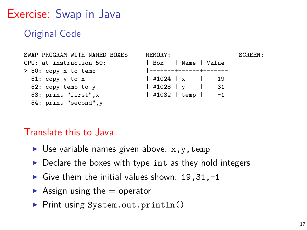Exercise: Swap in Java

Original Code

```
SWAP PROGRAM WITH NAMED BOXES MEMORY: SCREEN:
CPU: at instruction 50: | Box | Name | Value |
> 50: copy x to temp51: copy y to x | #1024 | x | 19 |
 52: copy temp to y | #1028 | y | 31 |
 53: print "first",x | #1032 | temp | -1 |
 54: print "second",y
```
### Translate this to Java

- $\triangleright$  Use variable names given above:  $x, y, t$ emp
- $\triangleright$  Declare the boxes with type int as they hold integers
- Give them the initial values shown:  $19,31,-1$
- $\blacktriangleright$  Assign using the  $=$  operator
- ▶ Print using System.out.println()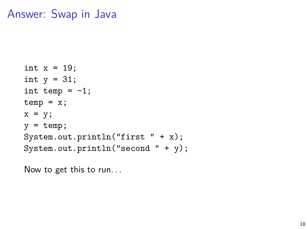### Answer: Swap in Java

```
int x = 19;
int y = 31;
int temp = -1;
temp = x;x = y;y = temp;
System.out.println("first " + x);
System.out.println("second " + y);
```
Now to get this to run. . .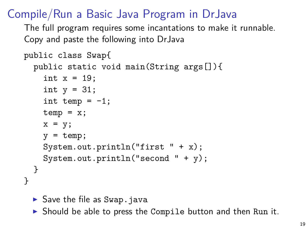# Compile/Run a Basic Java Program in DrJava

The full program requires some incantations to make it runnable. Copy and paste the following into DrJava

```
public class Swap{
  public static void main(String args[]){
    int x = 19;
    int y = 31;
    int temp = -1;
    temp = x;x = y;y = temp;System.out.println("first " + x);
    System.out.println("second " + y);
  }
}
```
 $\triangleright$  Save the file as Swap.java

 $\triangleright$  Should be able to press the Compile button and then Run it.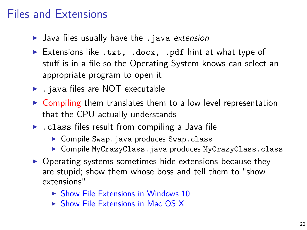## Files and Extensions

- $\blacktriangleright$  Java files usually have the .java extension
- Extensions like .txt, .docx, .pdf hint at what type of stuff is in a file so the Operating System knows can select an appropriate program to open it
- $\blacktriangleright$  . java files are NOT executable
- $\triangleright$  Compiling them translates them to a low level representation that the CPU actually understands
- $\blacktriangleright$  . class files result from compiling a Java file
	- $\triangleright$  Compile Swap.java produces Swap.class
	- ▶ Compile MyCrazyClass.java produces MyCrazyClass.class
- $\triangleright$  Operating systems sometimes hide extensions because they are stupid; show them whose boss and tell them to "show extensions"
	- $\triangleright$  [Show File Extensions in Windows 10](http://kb.winzip.com/kb/entry/26/)
	- $\triangleright$  [Show File Extensions in Mac OS X](http://www.idownloadblog.com/2014/10/29/how-to-show-or-hide-filename-extensions-in-os-x-yosemite/)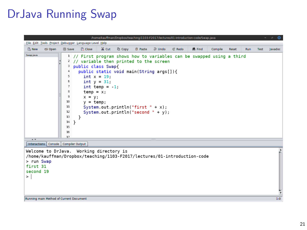# DrJava Running Swap

| File Edit Tools Project Debugger Language Level Help<br>$\supseteq$ Undo<br><b>A</b> Paste<br><b>X</b> Cut<br><b>Copy</b><br><sup>2</sup> Redo<br><b>M</b> Find<br><b>D.</b> New<br>G Open<br><b>■ Save</b><br><b>P</b> . Close<br>Compile<br>Reset<br><b>Run</b><br><b>Test</b><br>Javadoc<br>Swap.java<br>1 // First program shows how to variables can be swapped using a third<br>// variable then printed to the screen<br>2<br>public class Swap{<br>3<br>public static void main(String args[]){<br>4<br>5<br>$int x = 19$ :<br>6<br>int $y = 31$ ;<br>7<br>int temp = $-1$ ;<br>8<br>$temp = x$ ;<br>9<br>$x = y;$<br>10<br>$y = \text{temp}$ ;<br>11<br>System.out.println("first " + $x$ );<br>12<br>System.out.println("second " + $y$ );<br>13<br>14<br>- }<br>15<br>16<br>17<br>$\overline{A}$<br>Interactions   Console   Compiler Output<br>Welcome to DrJava. Working directory is<br>/home/kauffman/Dropbox/teaching/1103-F2017/lectures/01-introduction-code<br>> run Swap<br>first 31<br>second 19<br>$\geq$ | /home/kauffman/Dropbox/teaching/1103-F2017/lectures/01-introduction-code/Swap.java | - - 0 |
|---------------------------------------------------------------------------------------------------------------------------------------------------------------------------------------------------------------------------------------------------------------------------------------------------------------------------------------------------------------------------------------------------------------------------------------------------------------------------------------------------------------------------------------------------------------------------------------------------------------------------------------------------------------------------------------------------------------------------------------------------------------------------------------------------------------------------------------------------------------------------------------------------------------------------------------------------------------------------------------------------------------------------------|------------------------------------------------------------------------------------|-------|
|                                                                                                                                                                                                                                                                                                                                                                                                                                                                                                                                                                                                                                                                                                                                                                                                                                                                                                                                                                                                                                 |                                                                                    |       |
|                                                                                                                                                                                                                                                                                                                                                                                                                                                                                                                                                                                                                                                                                                                                                                                                                                                                                                                                                                                                                                 |                                                                                    |       |
|                                                                                                                                                                                                                                                                                                                                                                                                                                                                                                                                                                                                                                                                                                                                                                                                                                                                                                                                                                                                                                 |                                                                                    |       |
|                                                                                                                                                                                                                                                                                                                                                                                                                                                                                                                                                                                                                                                                                                                                                                                                                                                                                                                                                                                                                                 |                                                                                    |       |
| Running main Method of Current Document<br>1:0                                                                                                                                                                                                                                                                                                                                                                                                                                                                                                                                                                                                                                                                                                                                                                                                                                                                                                                                                                                  |                                                                                    |       |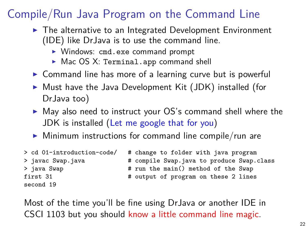# Compile/Run Java Program on the Command Line

- $\blacktriangleright$  The alternative to an Integrated Development Environment (IDE) like DrJava is to use the command line.
	- ▶ Windows: cmd.exe command prompt
	- $\triangleright$  Mac OS X: Terminal.app command shell
- $\triangleright$  Command line has more of a learning curve but is powerful
- $\triangleright$  Must have the Java Development Kit (JDK) installed (for DrJava too)
- $\triangleright$  May also need to instruct your OS's command shell where the JDK is installed [\(Let me google that for you\)](http://lmgtfy.com/?q=windows+10+set+path+for+java)
- $\triangleright$  Minimum instructions for command line compile/run are

```
> cd 01-introduction-code/ # change to folder with java program
> java Swap \longrightarrow # run the main() method of the Swap
first 31 \qquad # output of program on these 2 lines
second 19
```
> javac Swap.java # compile Swap.java to produce Swap.class

Most of the time you'll be fine using DrJava or another IDE in CSCI 1103 but you should know a little command line magic.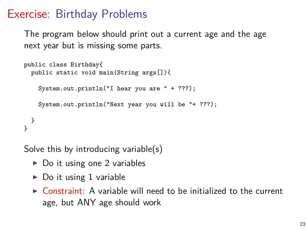### Exercise: Birthday Problems

The program below should print out a current age and the age next year but is missing some parts.

```
public class Birthday{
 public static void main(String args[]){
   System.out.println("I hear you are " + ???);
   System.out.println("Next year you will be "+ ???);
}
}
```
Solve this by introducing variable(s)

- $\triangleright$  Do it using one 2 variables
- $\triangleright$  Do it using 1 variable
- $\triangleright$  Constraint: A variable will need to be initialized to the current age, but ANY age should work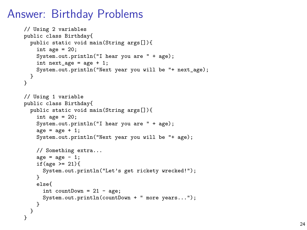### Answer: Birthday Problems

```
// Using 2 variables
public class Birthday{
  public static void main(String args[]){
    int age = 20:
    System.out.println("I hear you are " + age);
    int next_age = age + 1;
    System.out.println("Next year you will be "+ next_age);
  }
}
// Using 1 variable
public class Birthday{
  public static void main(String args[]){
    int age = 20:
    System.out.println("I hear you are " + age);
    age = age + 1;
    System.out.println("Next year you will be "+ age);
    // Something extra...
    \alphage = \alphage - 1;
    if(age >= 21){
      System.out.println("Let's get rickety wrecked!");
    }
    else{
      int countDown = 21 - age;System.out.println(countDown + " more years...");
    }
 }
}
```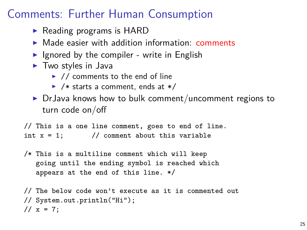# Comments: Further Human Consumption

- $\triangleright$  Reading programs is HARD
- $\triangleright$  Made easier with addition information: comments
- I Ignored by the compiler write in English
- $\blacktriangleright$  Two styles in Java
	- $\blacktriangleright$  // comments to the end of line
	- $\blacktriangleright$  /\* starts a comment, ends at \*/
- $\triangleright$  DrJava knows how to bulk comment/uncomment regions to turn code on/off

// This is a one line comment, goes to end of line. int  $x = 1$ ; // comment about this variable

/\* This is a multiline comment which will keep going until the ending symbol is reached which appears at the end of this line. \*/

```
// The below code won't execute as it is commented out
// System.out.println("Hi");
1/x = 7:
```